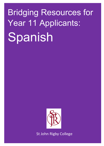## Bridging Resources for Year 11 Applicants: Spanish



St John Rigby College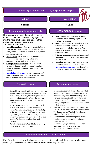## Preparing for Transition from Key Stage 4 to Key Stage 5

| Preparing for Transition from Key Stage 4 to Key Stage 5                                                                                                                                                                                                                                                                                                                                                                                                                                                                                                                                                                                                                                                                                                                                                                                                                                     |                                                                                                                                                                                                                                                                                                                                                                                                                                                                                                                                                                                                                                                                                                                            |
|----------------------------------------------------------------------------------------------------------------------------------------------------------------------------------------------------------------------------------------------------------------------------------------------------------------------------------------------------------------------------------------------------------------------------------------------------------------------------------------------------------------------------------------------------------------------------------------------------------------------------------------------------------------------------------------------------------------------------------------------------------------------------------------------------------------------------------------------------------------------------------------------|----------------------------------------------------------------------------------------------------------------------------------------------------------------------------------------------------------------------------------------------------------------------------------------------------------------------------------------------------------------------------------------------------------------------------------------------------------------------------------------------------------------------------------------------------------------------------------------------------------------------------------------------------------------------------------------------------------------------------|
| Subject                                                                                                                                                                                                                                                                                                                                                                                                                                                                                                                                                                                                                                                                                                                                                                                                                                                                                      | Qualification                                                                                                                                                                                                                                                                                                                                                                                                                                                                                                                                                                                                                                                                                                              |
| <b>Spanish</b>                                                                                                                                                                                                                                                                                                                                                                                                                                                                                                                                                                                                                                                                                                                                                                                                                                                                               | A Level                                                                                                                                                                                                                                                                                                                                                                                                                                                                                                                                                                                                                                                                                                                    |
| <b>Recommended Reading materials</b><br>Having an awareness of current issues is<br>especially useful for A Level languages. Get<br>into the habit of checking the news, either<br>online, television or newspapers.<br>Try these to start with:<br>www.bbcmundo.es - This is a news site in Spanish<br>from the BBC, with short videos as well as articles.<br>Many different sections, including science, health<br>and human interest.<br>20 minutes.es - This free and fully downloadable<br>newspaper is aimed at young adults and<br>commuters. Also available as an app.<br>www.primerasnoticias.com - News website<br>written by Spanish-speaking young journalists<br>aimed at teenagers. Great for short easy to read<br>articles.<br>www.holacandela.com - a new resource with A -<br>level exam type questions, interactive and current<br>topics for the new Linear curriculum. | <b>Recommended websites</b><br>Wordreference.com - essential online<br>dictionary for all budding linguists! Also<br>available as an app.<br>Quizlet.com - many of you will be familiar<br>with this website from school - it is<br>excellent for vocabulary learning. Also<br>available as an app. You will use this every<br>week at A Level.<br>http://www.bbc.co.uk/schools/gcsebitesi<br>ze/spanish - lots of grammar explanations<br>and exercises.<br>www.language-gym.com - a great website<br>for drilling verbs in a range of tenses.<br>www.conjuguemos.com - another option<br>for practicing and learning Spanish verbs.                                                                                      |
| <b>Preparation tasks</b>                                                                                                                                                                                                                                                                                                                                                                                                                                                                                                                                                                                                                                                                                                                                                                                                                                                                     | <b>Recommended research</b>                                                                                                                                                                                                                                                                                                                                                                                                                                                                                                                                                                                                                                                                                                |
| Cultural knowledge is a big part of your Spanish<br>A Level. Develop an interest in popular culture,<br>such as films, TV series, music or sport. What's<br>happening in Catalonia? Who is the Spanish<br>prime minister? Who are the Spanish Royal<br>Family?<br>Revise as much grammar as you can - it will<br>٠<br>make things MUCH easier for you when you<br>arrive. As a minimum, have a good knowledge<br>of the present, perfect and future tenses and<br>adjective agreements. You can use your own<br>notes from GCSE or visit a website such as BBC<br>Bitesize for thorough explanations and<br>activities.<br>Download Quizlet and Word Reference apps,<br>and any others you find useful.                                                                                                                                                                                      | Research the Spanish charts - find out what<br>is Number 1 in Spain or a Spanish speaking<br>country during your summer holidays. How<br>many songs in the top 20 are in the Spanish<br>language? Try to find a Spanish-speaking<br>artist you enjoy and find out a bit about them<br>or their music.<br>Watch at least 1 Spanish film (with subtitles)<br>- there are lots on Netflix and Amazon Prime.<br>The Spanish series 'The Heist' is gripping,<br>"Elite" or "la casa de papel".<br>Follow the fortunes of the Spanish or other<br>Spanish-speaking football teams in the<br>upcoming World Cup.<br>Research language-learning apps and try<br>some out - we'd love to hear your<br>recommendations in September! |
| Recommended trips or visits this summer                                                                                                                                                                                                                                                                                                                                                                                                                                                                                                                                                                                                                                                                                                                                                                                                                                                      |                                                                                                                                                                                                                                                                                                                                                                                                                                                                                                                                                                                                                                                                                                                            |

If you're lucky enough to visit a Spanish- speaking country – and speak the language whilst you're there – you'll really benefit from it, on both a cultural and linguistic level.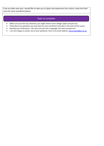If we are able next year I would like to take you to Spain and experience the culture, taste the food and visit some wonderful places.

## Tasks to complete

- Make sure you have any stationery you might need to start college: paper and pens etc.
- Think about any questions you may have for your enrolment interview or the start of the course.
- Develop your enthusiasm the more you put into a language, the more you get out!
- I am very happy to answer any of your questions, here is my email address; nuria.monks@sjr.ac.uk